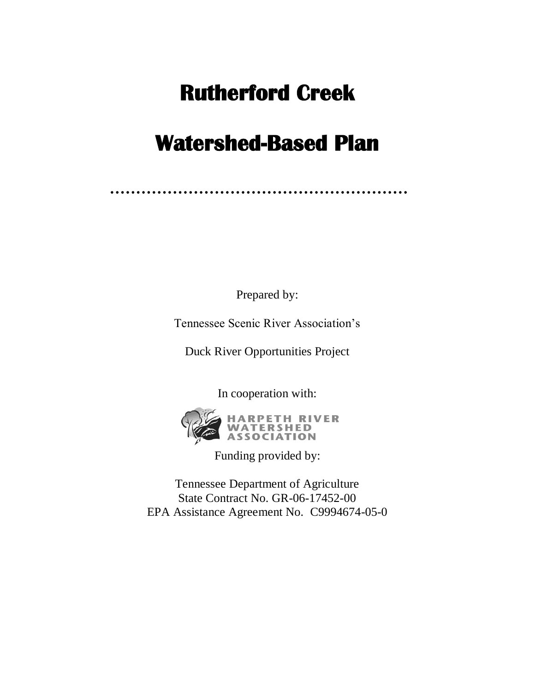# **Rutherford Creek**

# **Watershed-Based Plan**

Prepared by:

Tennessee Scenic River Association's

Duck River Opportunities Project

In cooperation with:



HARPETH RIVER<br>WATERSHED<br>ASSOCIATION

Funding provided by:

Tennessee Department of Agriculture State Contract No. GR-06-17452-00 EPA Assistance Agreement No. C9994674-05-0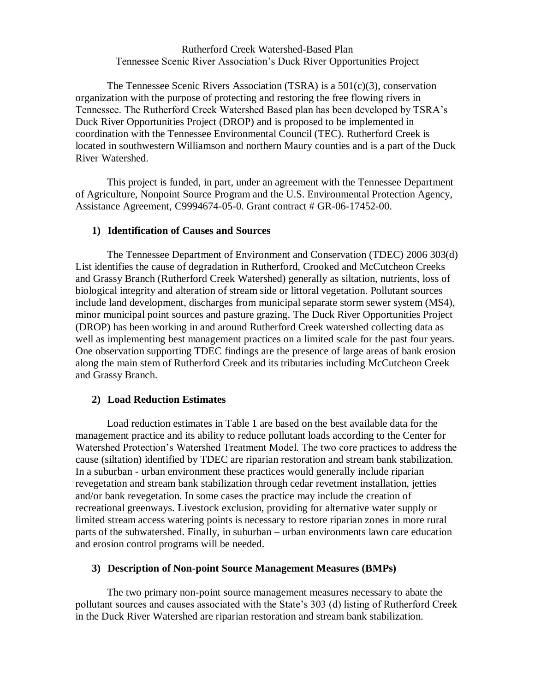#### Rutherford Creek Watershed-Based Plan Tennessee Scenic River Association's Duck River Opportunities Project

The Tennessee Scenic Rivers Association (TSRA) is a  $501(c)(3)$ , conservation organization with the purpose of protecting and restoring the free flowing rivers in Tennessee. The Rutherford Creek Watershed Based plan has been developed by TSRA's Duck River Opportunities Project (DROP) and is proposed to be implemented in coordination with the Tennessee Environmental Council (TEC). Rutherford Creek is located in southwestern Williamson and northern Maury counties and is a part of the Duck River Watershed.

This project is funded, in part, under an agreement with the Tennessee Department of Agriculture, Nonpoint Source Program and the U.S. Environmental Protection Agency, Assistance Agreement, C9994674-05-0. Grant contract # GR-06-17452-00.

#### **1) Identification of Causes and Sources**

The Tennessee Department of Environment and Conservation (TDEC) 2006 303(d) List identifies the cause of degradation in Rutherford, Crooked and McCutcheon Creeks and Grassy Branch (Rutherford Creek Watershed) generally as siltation, nutrients, loss of biological integrity and alteration of stream side or littoral vegetation. Pollutant sources include land development, discharges from municipal separate storm sewer system (MS4), minor municipal point sources and pasture grazing. The Duck River Opportunities Project (DROP) has been working in and around Rutherford Creek watershed collecting data as well as implementing best management practices on a limited scale for the past four years. One observation supporting TDEC findings are the presence of large areas of bank erosion along the main stem of Rutherford Creek and its tributaries including McCutcheon Creek and Grassy Branch.

## **2) Load Reduction Estimates**

Load reduction estimates in Table 1 are based on the best available data for the management practice and its ability to reduce pollutant loads according to the Center for Watershed Protection's Watershed Treatment Model. The two core practices to address the cause (siltation) identified by TDEC are riparian restoration and stream bank stabilization. In a suburban - urban environment these practices would generally include riparian revegetation and stream bank stabilization through cedar revetment installation, jetties and/or bank revegetation. In some cases the practice may include the creation of recreational greenways. Livestock exclusion, providing for alternative water supply or limited stream access watering points is necessary to restore riparian zones in more rural parts of the subwatershed. Finally, in suburban – urban environments lawn care education and erosion control programs will be needed.

## **3) Description of Non-point Source Management Measures (BMPs)**

The two primary non-point source management measures necessary to abate the pollutant sources and causes associated with the State's 303 (d) listing of Rutherford Creek in the Duck River Watershed are riparian restoration and stream bank stabilization.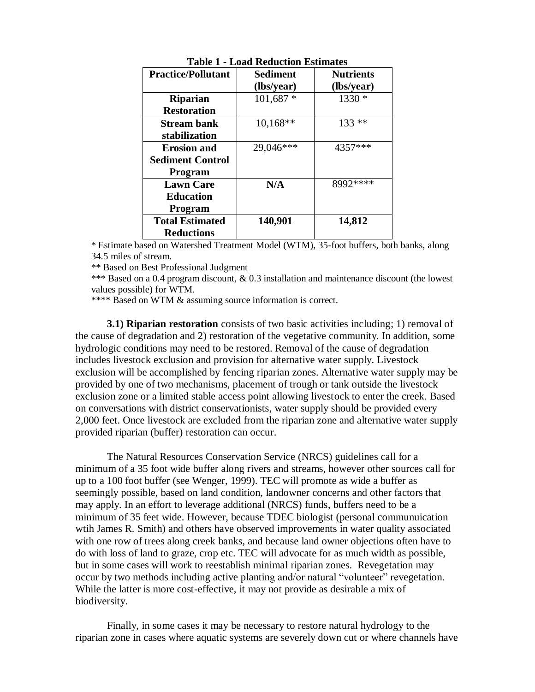| <b>Practice/Pollutant</b> | <b>Sediment</b> | <b>Nutrients</b> |
|---------------------------|-----------------|------------------|
|                           | (lbs/year)      | (lbs/year)       |
| <b>Riparian</b>           | $101,687*$      | $1330*$          |
| <b>Restoration</b>        |                 |                  |
| <b>Stream bank</b>        | $10,168**$      | $133**$          |
| stabilization             |                 |                  |
| <b>Erosion and</b>        | 29,046***       | 4357***          |
| <b>Sediment Control</b>   |                 |                  |
| Program                   |                 |                  |
| <b>Lawn Care</b>          | N/A             | 8992****         |
| <b>Education</b>          |                 |                  |
| Program                   |                 |                  |
| <b>Total Estimated</b>    | 140,901         | 14,812           |
| <b>Reductions</b>         |                 |                  |

**Table 1 - Load Reduction Estimates**

\* Estimate based on Watershed Treatment Model (WTM), 35-foot buffers, both banks, along 34.5 miles of stream.

\*\* Based on Best Professional Judgment

\*\*\* Based on a 0.4 program discount, & 0.3 installation and maintenance discount (the lowest values possible) for WTM.

\*\*\*\* Based on WTM & assuming source information is correct.

**3.1) Riparian restoration** consists of two basic activities including; 1) removal of the cause of degradation and 2) restoration of the vegetative community. In addition, some hydrologic conditions may need to be restored. Removal of the cause of degradation includes livestock exclusion and provision for alternative water supply. Livestock exclusion will be accomplished by fencing riparian zones. Alternative water supply may be provided by one of two mechanisms, placement of trough or tank outside the livestock exclusion zone or a limited stable access point allowing livestock to enter the creek. Based on conversations with district conservationists, water supply should be provided every 2,000 feet. Once livestock are excluded from the riparian zone and alternative water supply provided riparian (buffer) restoration can occur.

The Natural Resources Conservation Service (NRCS) guidelines call for a minimum of a 35 foot wide buffer along rivers and streams, however other sources call for up to a 100 foot buffer (see Wenger, 1999). TEC will promote as wide a buffer as seemingly possible, based on land condition, landowner concerns and other factors that may apply. In an effort to leverage additional (NRCS) funds, buffers need to be a minimum of 35 feet wide. However, because TDEC biologist (personal communuication wtih James R. Smith) and others have observed improvements in water quality associated with one row of trees along creek banks, and because land owner objections often have to do with loss of land to graze, crop etc. TEC will advocate for as much width as possible, but in some cases will work to reestablish minimal riparian zones. Revegetation may occur by two methods including active planting and/or natural "volunteer" revegetation. While the latter is more cost-effective, it may not provide as desirable a mix of biodiversity.

Finally, in some cases it may be necessary to restore natural hydrology to the riparian zone in cases where aquatic systems are severely down cut or where channels have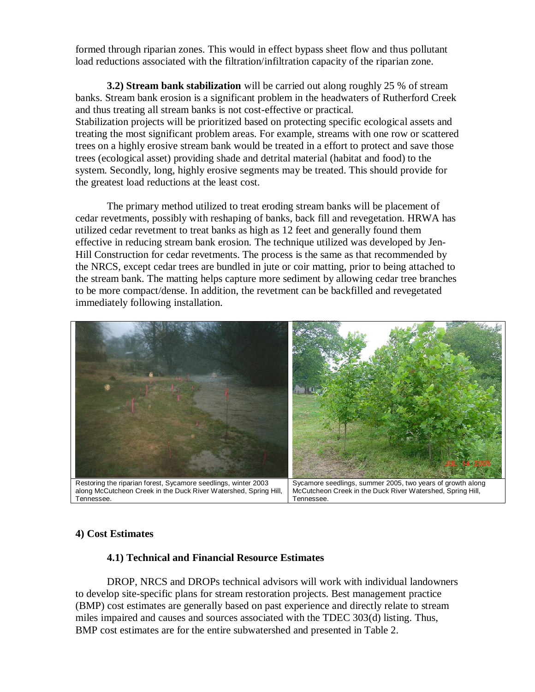formed through riparian zones. This would in effect bypass sheet flow and thus pollutant load reductions associated with the filtration/infiltration capacity of the riparian zone.

**3.2) Stream bank stabilization** will be carried out along roughly 25 % of stream banks. Stream bank erosion is a significant problem in the headwaters of Rutherford Creek and thus treating all stream banks is not cost-effective or practical. Stabilization projects will be prioritized based on protecting specific ecological assets and treating the most significant problem areas. For example, streams with one row or scattered trees on a highly erosive stream bank would be treated in a effort to protect and save those trees (ecological asset) providing shade and detrital material (habitat and food) to the system. Secondly, long, highly erosive segments may be treated. This should provide for the greatest load reductions at the least cost.

The primary method utilized to treat eroding stream banks will be placement of cedar revetments, possibly with reshaping of banks, back fill and revegetation. HRWA has utilized cedar revetment to treat banks as high as 12 feet and generally found them effective in reducing stream bank erosion. The technique utilized was developed by Jen-Hill Construction for cedar revetments. The process is the same as that recommended by the NRCS, except cedar trees are bundled in jute or coir matting, prior to being attached to the stream bank. The matting helps capture more sediment by allowing cedar tree branches to be more compact/dense. In addition, the revetment can be backfilled and revegetated immediately following installation.



## **4) Cost Estimates**

#### **4.1) Technical and Financial Resource Estimates**

DROP, NRCS and DROPs technical advisors will work with individual landowners to develop site-specific plans for stream restoration projects. Best management practice (BMP) cost estimates are generally based on past experience and directly relate to stream miles impaired and causes and sources associated with the TDEC 303(d) listing. Thus, BMP cost estimates are for the entire subwatershed and presented in Table 2.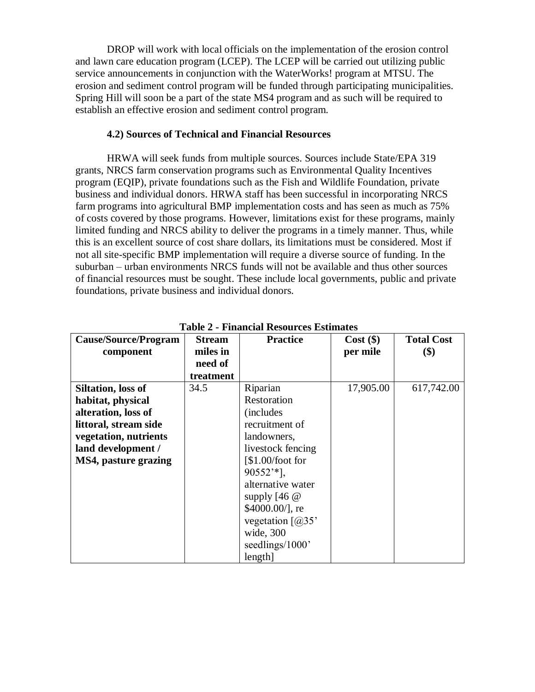DROP will work with local officials on the implementation of the erosion control and lawn care education program (LCEP). The LCEP will be carried out utilizing public service announcements in conjunction with the WaterWorks! program at MTSU. The erosion and sediment control program will be funded through participating municipalities. Spring Hill will soon be a part of the state MS4 program and as such will be required to establish an effective erosion and sediment control program.

#### **4.2) Sources of Technical and Financial Resources**

HRWA will seek funds from multiple sources. Sources include State/EPA 319 grants, NRCS farm conservation programs such as Environmental Quality Incentives program (EQIP), private foundations such as the Fish and Wildlife Foundation, private business and individual donors. HRWA staff has been successful in incorporating NRCS farm programs into agricultural BMP implementation costs and has seen as much as 75% of costs covered by those programs. However, limitations exist for these programs, mainly limited funding and NRCS ability to deliver the programs in a timely manner. Thus, while this is an excellent source of cost share dollars, its limitations must be considered. Most if not all site-specific BMP implementation will require a diverse source of funding. In the suburban – urban environments NRCS funds will not be available and thus other sources of financial resources must be sought. These include local governments, public and private foundations, private business and individual donors.

| <b>Cause/Source/Program</b> | <b>Stream</b> | <b>Practice</b>                         | $Cost$ (\$) | <b>Total Cost</b> |
|-----------------------------|---------------|-----------------------------------------|-------------|-------------------|
| component                   | miles in      |                                         | per mile    | \$)               |
|                             | need of       |                                         |             |                   |
|                             | treatment     |                                         |             |                   |
| <b>Siltation, loss of</b>   | 34.5          | Riparian                                | 17,905.00   | 617,742.00        |
| habitat, physical           |               | Restoration                             |             |                   |
| alteration, loss of         |               | <i>(includes)</i>                       |             |                   |
| littoral, stream side       |               | recruitment of                          |             |                   |
| vegetation, nutrients       |               | landowners,                             |             |                   |
| land development /          |               | livestock fencing                       |             |                   |
| MS4, pasture grazing        |               | $\left[ $1.00/foot for \right]$         |             |                   |
|                             |               | $90552**$ ],                            |             |                   |
|                             |               | alternative water                       |             |                   |
|                             |               | supply $[46 \; \text{\textcircled{a}}]$ |             |                   |
|                             |               | $$4000.00/$ ], re                       |             |                   |
|                             |               | vegetation $\lceil$ ( $\partial$ )35'   |             |                   |
|                             |               | wide, 300                               |             |                   |
|                             |               | seedlings/1000'                         |             |                   |
|                             |               | length]                                 |             |                   |

**Table 2 - Financial Resources Estimates**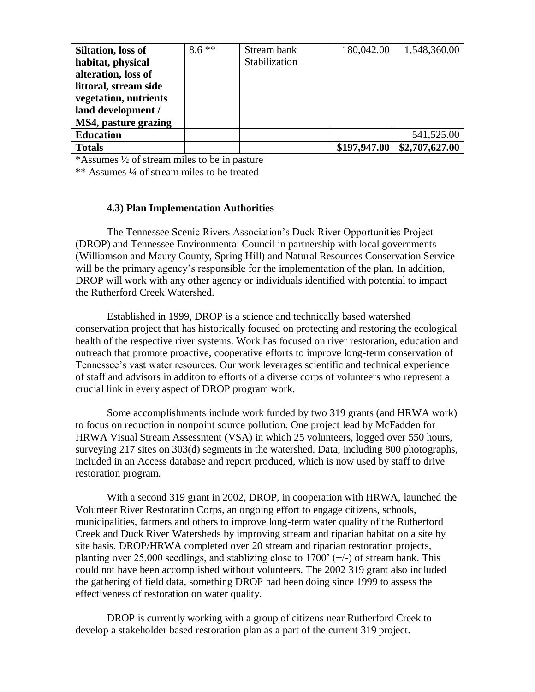| Siltation, loss of    | $8.6**$ | Stream bank   | 180,042.00   | 1,548,360.00   |
|-----------------------|---------|---------------|--------------|----------------|
| habitat, physical     |         | Stabilization |              |                |
| alteration, loss of   |         |               |              |                |
| littoral, stream side |         |               |              |                |
| vegetation, nutrients |         |               |              |                |
| land development /    |         |               |              |                |
| MS4, pasture grazing  |         |               |              |                |
| <b>Education</b>      |         |               |              | 541,525.00     |
| <b>Totals</b>         |         |               | \$197,947.00 | \$2,707,627.00 |

\*Assumes ½ of stream miles to be in pasture

\*\* Assumes ¼ of stream miles to be treated

#### **4.3) Plan Implementation Authorities**

The Tennessee Scenic Rivers Association's Duck River Opportunities Project (DROP) and Tennessee Environmental Council in partnership with local governments (Williamson and Maury County, Spring Hill) and Natural Resources Conservation Service will be the primary agency's responsible for the implementation of the plan. In addition, DROP will work with any other agency or individuals identified with potential to impact the Rutherford Creek Watershed.

Established in 1999, DROP is a science and technically based watershed conservation project that has historically focused on protecting and restoring the ecological health of the respective river systems. Work has focused on river restoration, education and outreach that promote proactive, cooperative efforts to improve long-term conservation of Tennessee's vast water resources. Our work leverages scientific and technical experience of staff and advisors in additon to efforts of a diverse corps of volunteers who represent a crucial link in every aspect of DROP program work.

Some accomplishments include work funded by two 319 grants (and HRWA work) to focus on reduction in nonpoint source pollution. One project lead by McFadden for HRWA Visual Stream Assessment (VSA) in which 25 volunteers, logged over 550 hours, surveying 217 sites on 303(d) segments in the watershed. Data, including 800 photographs, included in an Access database and report produced, which is now used by staff to drive restoration program.

With a second 319 grant in 2002, DROP, in cooperation with HRWA, launched the Volunteer River Restoration Corps, an ongoing effort to engage citizens, schools, municipalities, farmers and others to improve long-term water quality of the Rutherford Creek and Duck River Watersheds by improving stream and riparian habitat on a site by site basis. DROP/HRWA completed over 20 stream and riparian restoration projects, planting over 25,000 seedlings, and stablizing close to 1700'  $(+/-)$  of stream bank. This could not have been accomplished without volunteers. The 2002 319 grant also included the gathering of field data, something DROP had been doing since 1999 to assess the effectiveness of restoration on water quality.

DROP is currently working with a group of citizens near Rutherford Creek to develop a stakeholder based restoration plan as a part of the current 319 project.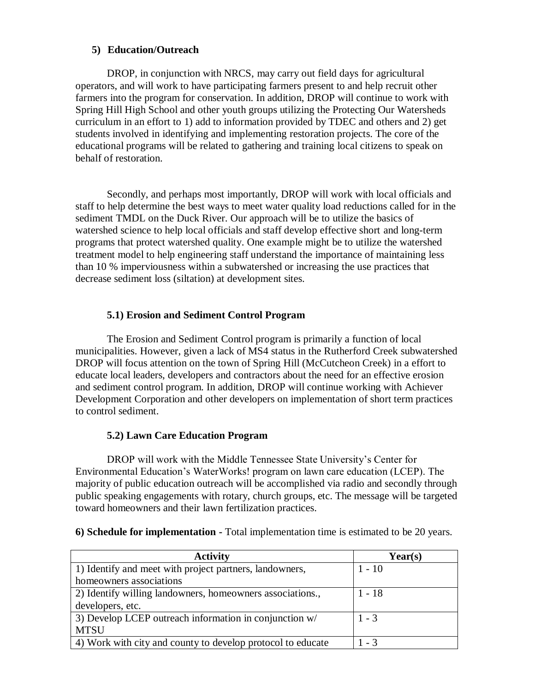## **5) Education/Outreach**

DROP, in conjunction with NRCS, may carry out field days for agricultural operators, and will work to have participating farmers present to and help recruit other farmers into the program for conservation. In addition, DROP will continue to work with Spring Hill High School and other youth groups utilizing the Protecting Our Watersheds curriculum in an effort to 1) add to information provided by TDEC and others and 2) get students involved in identifying and implementing restoration projects. The core of the educational programs will be related to gathering and training local citizens to speak on behalf of restoration.

Secondly, and perhaps most importantly, DROP will work with local officials and staff to help determine the best ways to meet water quality load reductions called for in the sediment TMDL on the Duck River. Our approach will be to utilize the basics of watershed science to help local officials and staff develop effective short and long-term programs that protect watershed quality. One example might be to utilize the watershed treatment model to help engineering staff understand the importance of maintaining less than 10 % imperviousness within a subwatershed or increasing the use practices that decrease sediment loss (siltation) at development sites.

# **5.1) Erosion and Sediment Control Program**

The Erosion and Sediment Control program is primarily a function of local municipalities. However, given a lack of MS4 status in the Rutherford Creek subwatershed DROP will focus attention on the town of Spring Hill (McCutcheon Creek) in a effort to educate local leaders, developers and contractors about the need for an effective erosion and sediment control program. In addition, DROP will continue working with Achiever Development Corporation and other developers on implementation of short term practices to control sediment.

# **5.2) Lawn Care Education Program**

DROP will work with the Middle Tennessee State University's Center for Environmental Education's WaterWorks! program on lawn care education (LCEP). The majority of public education outreach will be accomplished via radio and secondly through public speaking engagements with rotary, church groups, etc. The message will be targeted toward homeowners and their lawn fertilization practices.

| 6) Schedule for implementation - Total implementation time is estimated to be 20 years. |  |
|-----------------------------------------------------------------------------------------|--|
|-----------------------------------------------------------------------------------------|--|

| <b>Activity</b>                                             | $\text{Year}(s)$ |
|-------------------------------------------------------------|------------------|
| 1) Identify and meet with project partners, landowners,     | $1 - 10$         |
| homeowners associations                                     |                  |
| 2) Identify willing landowners, homeowners associations.,   | $1 - 18$         |
| developers, etc.                                            |                  |
| 3) Develop LCEP outreach information in conjunction w/      | $1 - 3$          |
| <b>MTSU</b>                                                 |                  |
| 4) Work with city and county to develop protocol to educate | $1 - 3$          |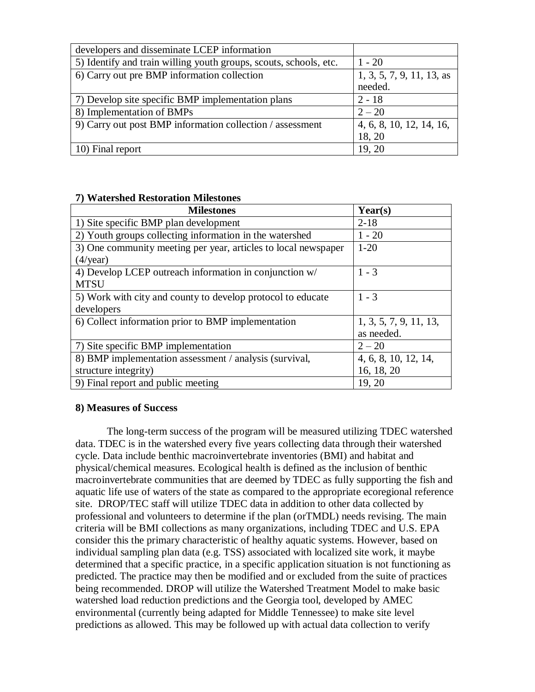| developers and disseminate LCEP information                       |                           |
|-------------------------------------------------------------------|---------------------------|
| 5) Identify and train willing youth groups, scouts, schools, etc. | $1 - 20$                  |
| 6) Carry out pre BMP information collection                       | 1, 3, 5, 7, 9, 11, 13, as |
|                                                                   | needed.                   |
| 7) Develop site specific BMP implementation plans                 | $2 - 18$                  |
| 8) Implementation of BMPs                                         | $2 - 20$                  |
| 9) Carry out post BMP information collection / assessment         | 4, 6, 8, 10, 12, 14, 16,  |
|                                                                   | 18, 20                    |
| 10) Final report                                                  | 19, 20                    |

| 7) watersned Restoration Milestones                            |                        |
|----------------------------------------------------------------|------------------------|
| <b>Milestones</b>                                              | Year(s)                |
| 1) Site specific BMP plan development                          | $2 - 18$               |
| 2) Youth groups collecting information in the watershed        | $1 - 20$               |
| 3) One community meeting per year, articles to local newspaper | $1-20$                 |
| $(4/\text{year})$                                              |                        |
| 4) Develop LCEP outreach information in conjunction w/         | $1 - 3$                |
| <b>MTSU</b>                                                    |                        |
| 5) Work with city and county to develop protocol to educate    | $1 - 3$                |
| developers                                                     |                        |
| 6) Collect information prior to BMP implementation             | 1, 3, 5, 7, 9, 11, 13, |
|                                                                | as needed.             |
| 7) Site specific BMP implementation                            | $2 - 20$               |
| 8) BMP implementation assessment / analysis (survival,         | 4, 6, 8, 10, 12, 14,   |
| structure integrity)                                           | 16, 18, 20             |
| 9) Final report and public meeting                             | 19, 20                 |

# **7) Watershed Restoration Milestones**

#### **8) Measures of Success**

The long-term success of the program will be measured utilizing TDEC watershed data. TDEC is in the watershed every five years collecting data through their watershed cycle. Data include benthic macroinvertebrate inventories (BMI) and habitat and physical/chemical measures. Ecological health is defined as the inclusion of benthic macroinvertebrate communities that are deemed by TDEC as fully supporting the fish and aquatic life use of waters of the state as compared to the appropriate ecoregional reference site. DROP/TEC staff will utilize TDEC data in addition to other data collected by professional and volunteers to determine if the plan (orTMDL) needs revising. The main criteria will be BMI collections as many organizations, including TDEC and U.S. EPA consider this the primary characteristic of healthy aquatic systems. However, based on individual sampling plan data (e.g. TSS) associated with localized site work, it maybe determined that a specific practice, in a specific application situation is not functioning as predicted. The practice may then be modified and or excluded from the suite of practices being recommended. DROP will utilize the Watershed Treatment Model to make basic watershed load reduction predictions and the Georgia tool, developed by AMEC environmental (currently being adapted for Middle Tennessee) to make site level predictions as allowed. This may be followed up with actual data collection to verify